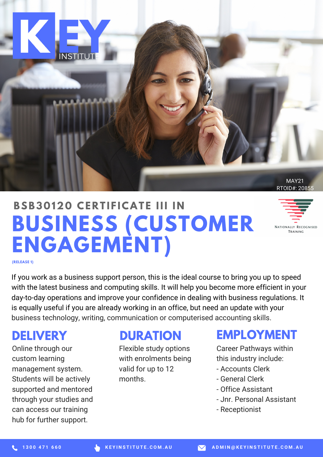

# **BUSINESS (CUSTOMER ENGAGEMENT) BSB3 0 120 CE R T I F ICAT E III I N**



**(RELEASE 1)**

If you work as a business support person, this is the ideal course to bring you up to speed with the latest business and computing skills. It will help you become more efficient in your day-to-day operations and improve your confidence in dealing with business regulations. It is equally useful if you are already working in an office, but need an update with your business technology, writing, communication or computerised accounting skills.

## **DELIVERY**

Online through our custom learning management system. Students will be actively supported and mentored through your studies and can access our training hub for further support.

### **DURATION**

Flexible study options with enrolments being valid for up to 12 months.

### **EMPLOYMENT**

Career Pathways within this industry include:

- Accounts Clerk
- General Clerk
- Office Assistant
- Jnr. Personal Assistant
- Receptionist